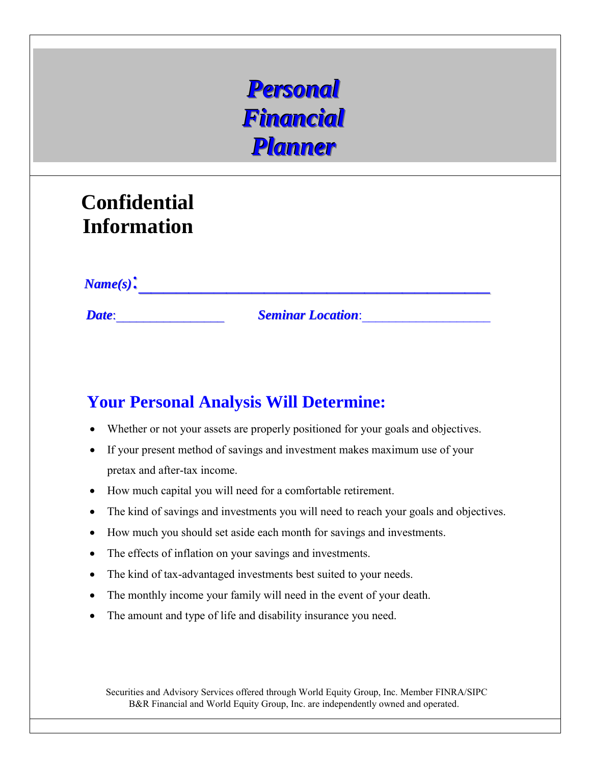# *PPeerrssoonnaall*  $$ **Planner**

## **Confidential Information**

*Name(s)*:

*Date*:\_\_\_\_\_\_\_\_\_\_\_\_\_\_\_\_ *Seminar Location*:\_\_\_\_\_\_\_\_\_\_\_\_\_\_\_\_\_\_\_

### **Your Personal Analysis Will Determine:**

- Whether or not your assets are properly positioned for your goals and objectives.
- If your present method of savings and investment makes maximum use of your pretax and after-tax income.
- How much capital you will need for a comfortable retirement.
- The kind of savings and investments you will need to reach your goals and objectives.
- How much you should set aside each month for savings and investments.
- The effects of inflation on your savings and investments.
- The kind of tax-advantaged investments best suited to your needs.
- The monthly income your family will need in the event of your death.
- The amount and type of life and disability insurance you need.

Securities and Advisory Services offered through World Equity Group, Inc. Member FINRA/SIPC B&R Financial and World Equity Group, Inc. are independently owned and operated.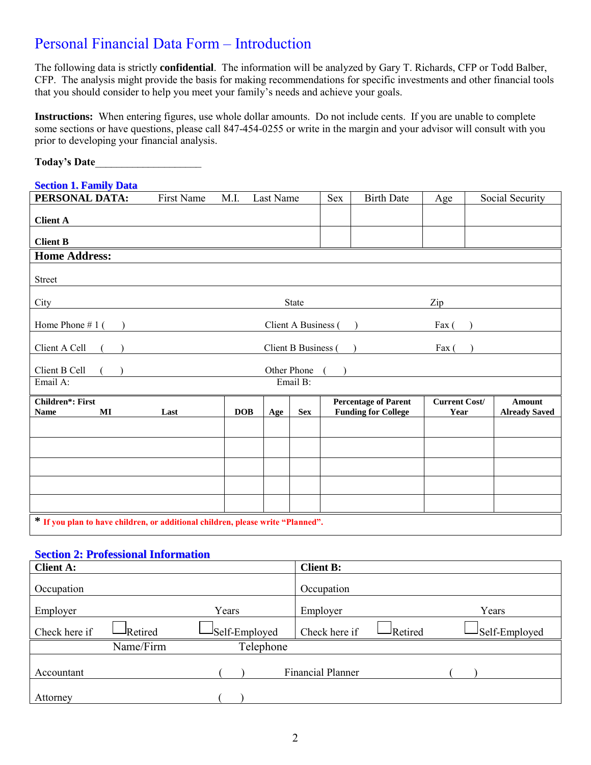### Personal Financial Data Form – Introduction

The following data is strictly **confidential**. The information will be analyzed by Gary T. Richards, CFP or Todd Balber, CFP. The analysis might provide the basis for making recommendations for specific investments and other financial tools that you should consider to help you meet your family's needs and achieve your goals.

**Instructions:** When entering figures, use whole dollar amounts. Do not include cents. If you are unable to complete some sections or have questions, please call 847-454-0255 or write in the margin and your advisor will consult with you prior to developing your financial analysis.

| <b>Today's Date</b> |  |  |  |
|---------------------|--|--|--|
|                     |  |  |  |

#### **Section 1. Family Data**

| PERSONAL DATA:                                                                  | First Name | M.I.       | Last Name   |                     | <b>Sex</b> | <b>Birth Date</b>                                         | Age                          | Social Security                |
|---------------------------------------------------------------------------------|------------|------------|-------------|---------------------|------------|-----------------------------------------------------------|------------------------------|--------------------------------|
| <b>Client A</b>                                                                 |            |            |             |                     |            |                                                           |                              |                                |
| <b>Client B</b>                                                                 |            |            |             |                     |            |                                                           |                              |                                |
| <b>Home Address:</b>                                                            |            |            |             |                     |            |                                                           |                              |                                |
| <b>Street</b>                                                                   |            |            |             |                     |            |                                                           |                              |                                |
| City                                                                            |            |            |             | <b>State</b>        |            |                                                           | Zip                          |                                |
| Home Phone $# 1$ (                                                              |            |            |             | Client A Business ( |            |                                                           | $\text{Fax}$ (               |                                |
| Client A Cell                                                                   |            |            |             | Client B Business ( |            |                                                           | Fax (                        |                                |
| Client B Cell                                                                   |            |            | Other Phone |                     |            |                                                           |                              |                                |
| Email A:                                                                        |            |            |             | Email B:            |            |                                                           |                              |                                |
| Children*: First<br><b>Name</b><br>$\bf{MI}$                                    | Last       | <b>DOB</b> | Age         | <b>Sex</b>          |            | <b>Percentage of Parent</b><br><b>Funding for College</b> | <b>Current Cost/</b><br>Year | Amount<br><b>Already Saved</b> |
|                                                                                 |            |            |             |                     |            |                                                           |                              |                                |
|                                                                                 |            |            |             |                     |            |                                                           |                              |                                |
|                                                                                 |            |            |             |                     |            |                                                           |                              |                                |
|                                                                                 |            |            |             |                     |            |                                                           |                              |                                |
|                                                                                 |            |            |             |                     |            |                                                           |                              |                                |
| * If you plan to have children, or additional children, please write "Planned". |            |            |             |                     |            |                                                           |                              |                                |

#### **Section 2: Professional Information**

| <b>Client A:</b> |                |               | <b>Client B:</b>         |         |               |
|------------------|----------------|---------------|--------------------------|---------|---------------|
| Occupation       |                |               | Occupation               |         |               |
| Employer         |                | Years         | Employer                 |         | Years         |
| Check here if    | <b>Retired</b> | Self-Employed | Check here if            | Retired | Self-Employed |
|                  | Name/Firm      | Telephone     |                          |         |               |
| Accountant       |                |               | <b>Financial Planner</b> |         |               |
| Attorney         |                |               |                          |         |               |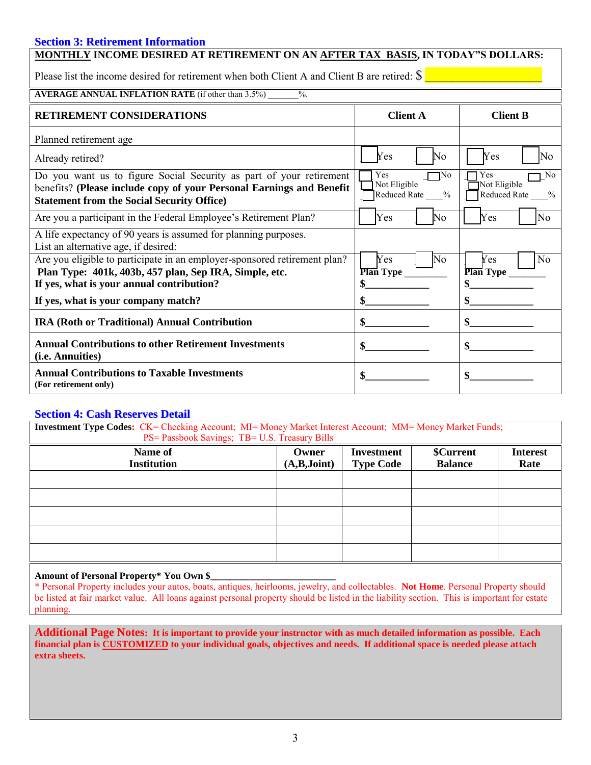#### **Section 3: Retirement Information**

| <b>MONTHLY INCOME DESIRED AT RETIREMENT ON AN AFTER TAX BASIS, IN TODAY"S DOLLARS:</b>                                                                                                           |                                                    |                                                                 |  |  |  |  |  |  |
|--------------------------------------------------------------------------------------------------------------------------------------------------------------------------------------------------|----------------------------------------------------|-----------------------------------------------------------------|--|--|--|--|--|--|
| Please list the income desired for retirement when both Client A and Client B are retired: $\$$                                                                                                  |                                                    |                                                                 |  |  |  |  |  |  |
| <b>AVERAGE ANNUAL INFLATION RATE</b> (if other than 3.5%)<br>$\frac{0}{0}$ .                                                                                                                     |                                                    |                                                                 |  |  |  |  |  |  |
| <b>RETIREMENT CONSIDERATIONS</b>                                                                                                                                                                 | <b>Client A</b>                                    | <b>Client B</b>                                                 |  |  |  |  |  |  |
| Planned retirement age                                                                                                                                                                           |                                                    |                                                                 |  |  |  |  |  |  |
| Already retired?                                                                                                                                                                                 | Yes<br>No                                          | Yes<br>No                                                       |  |  |  |  |  |  |
| Do you want us to figure Social Security as part of your retirement<br>benefits? (Please include copy of your Personal Earnings and Benefit<br><b>Statement from the Social Security Office)</b> | Yes<br>$\neg$ No<br>Not Eligible<br>Reduced Rate % | $\neg$ No<br>Yes<br>Not Eligible<br><b>Reduced Rate</b><br>$\%$ |  |  |  |  |  |  |
| Are you a participant in the Federal Employee's Retirement Plan?                                                                                                                                 | Yes<br>No                                          | Yes<br>N <sub>0</sub>                                           |  |  |  |  |  |  |
| A life expectancy of 90 years is assumed for planning purposes.<br>List an alternative age, if desired:                                                                                          |                                                    |                                                                 |  |  |  |  |  |  |
| Are you eligible to participate in an employer-sponsored retirement plan?<br>Plan Type: 401k, 403b, 457 plan, Sep IRA, Simple, etc.<br>If yes, what is your annual contribution?                 | Yes<br>No<br><b>Plan Type</b>                      | N <sub>0</sub><br>Yes<br><b>Plan Type</b><br>\$                 |  |  |  |  |  |  |
| If yes, what is your company match?                                                                                                                                                              |                                                    |                                                                 |  |  |  |  |  |  |
| IRA (Roth or Traditional) Annual Contribution                                                                                                                                                    |                                                    |                                                                 |  |  |  |  |  |  |
| <b>Annual Contributions to other Retirement Investments</b><br>(i.e. Annuities)                                                                                                                  |                                                    | \$                                                              |  |  |  |  |  |  |
| <b>Annual Contributions to Taxable Investments</b><br>(For retirement only)                                                                                                                      |                                                    |                                                                 |  |  |  |  |  |  |

#### **Section 4: Cash Reserves Detail**

| <b>Investment Type Codes:</b> CK= Checking Account; MI= Money Market Interest Account; MM= Money Market Funds; |             |                  |                |      |  |  |  |  |  |
|----------------------------------------------------------------------------------------------------------------|-------------|------------------|----------------|------|--|--|--|--|--|
| PS= Passbook Savings; TB= U.S. Treasury Bills                                                                  |             |                  |                |      |  |  |  |  |  |
| \$Current<br>Name of<br><b>Investment</b><br><b>Interest</b><br>Owner                                          |             |                  |                |      |  |  |  |  |  |
| <b>Institution</b>                                                                                             | (A,B,Joint) | <b>Type Code</b> | <b>Balance</b> | Rate |  |  |  |  |  |
|                                                                                                                |             |                  |                |      |  |  |  |  |  |
|                                                                                                                |             |                  |                |      |  |  |  |  |  |
|                                                                                                                |             |                  |                |      |  |  |  |  |  |
|                                                                                                                |             |                  |                |      |  |  |  |  |  |
|                                                                                                                |             |                  |                |      |  |  |  |  |  |
|                                                                                                                |             |                  |                |      |  |  |  |  |  |
|                                                                                                                |             |                  |                |      |  |  |  |  |  |
|                                                                                                                |             |                  |                |      |  |  |  |  |  |

#### **Amount of Personal Property\* You Own \$\_\_\_\_\_\_\_\_\_\_\_\_\_\_\_\_\_\_\_\_\_\_\_\_\_\_**

\* Personal Property includes your autos, boats, antiques, heirlooms, jewelry, and collectables. **Not Home**. Personal Property should be listed at fair market value. All loans against personal property should be listed in the liability section. This is important for estate planning.

**Additional Page Notes: It is important to provide your instructor with as much detailed information as possible. Each financial plan is CUSTOMIZED to your individual goals, objectives and needs. If additional space is needed please attach extra sheets.**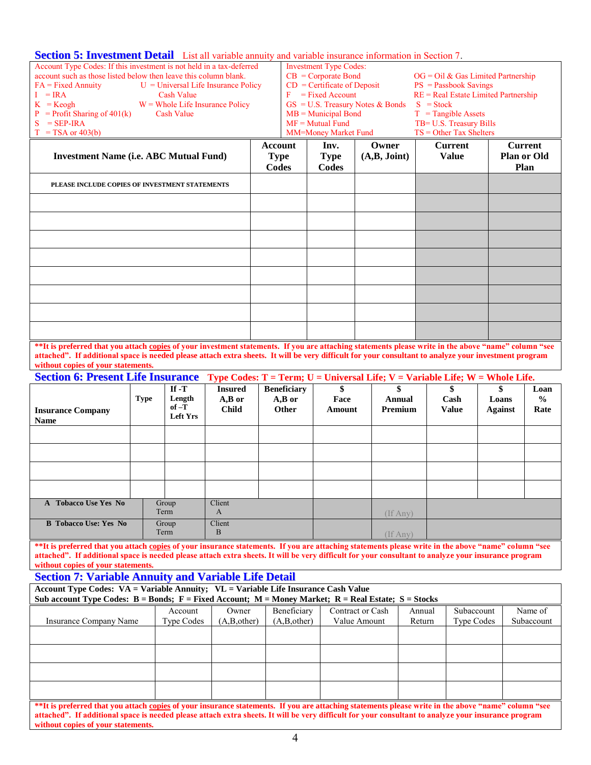#### **Section 5: Investment Detail** List all variable annuity and variable insurance information in Section 7.

| $D_{\mathbf{U}}$ and $D_{\mathbf{U}}$ are a set of $D_{\mathbf{U}}$ and $D_{\mathbf{U}}$ and $D_{\mathbf{U}}$ and $D_{\mathbf{U}}$ and $D_{\mathbf{U}}$ and $D_{\mathbf{U}}$ and $D_{\mathbf{U}}$ and $D_{\mathbf{U}}$ and $D_{\mathbf{U}}$ and $D_{\mathbf{U}}$ and $D_{\mathbf{U}}$ and $D_{\mathbf{U}}$ and $D$ |                |                                                          |                                                                |                                     |                                        |                    |  |
|--------------------------------------------------------------------------------------------------------------------------------------------------------------------------------------------------------------------------------------------------------------------------------------------------------------------|----------------|----------------------------------------------------------|----------------------------------------------------------------|-------------------------------------|----------------------------------------|--------------------|--|
| Account Type Codes: If this investment is not held in a tax-deferred                                                                                                                                                                                                                                               |                | <b>Investment Type Codes:</b>                            |                                                                |                                     |                                        |                    |  |
| account such as those listed below then leave this column blank.                                                                                                                                                                                                                                                   |                |                                                          | $CB = Corporate Bond$<br>$OG = Oil \& Gas Limited Partnership$ |                                     |                                        |                    |  |
| $FA = Fixed$ Annuity $U = Universal$ Life Insurance Policy                                                                                                                                                                                                                                                         |                |                                                          |                                                                | $CD =$ Certificate of Deposit       | $PS = Passbook\ Savings$               |                    |  |
| $I = IRA$<br><b>Cash Value</b>                                                                                                                                                                                                                                                                                     |                |                                                          | $F = Fixed Account$                                            |                                     | $RE = Real$ Estate Limited Partnership |                    |  |
| $K = K \neq h$<br>$W =$ Whole Life Insurance Policy                                                                                                                                                                                                                                                                |                |                                                          |                                                                | $GS = U.S$ . Treasury Notes & Bonds | $S = Stock$                            |                    |  |
| $P =$ Profit Sharing of 401(k)<br><b>Cash Value</b>                                                                                                                                                                                                                                                                |                |                                                          | $MB =$ Municipal Bond                                          |                                     | $T = Tangible$ Assets                  |                    |  |
| $S = SEP-IRA$                                                                                                                                                                                                                                                                                                      |                |                                                          | $MF = Mutual Fund$                                             |                                     | TB= U.S. Treasury Bills                |                    |  |
| $T = TSA$ or 403(b)                                                                                                                                                                                                                                                                                                |                | $TS = Other Tax Shelters$<br><b>MM=Money Market Fund</b> |                                                                |                                     |                                        |                    |  |
|                                                                                                                                                                                                                                                                                                                    | <b>Account</b> |                                                          | Inv.                                                           | Owner                               | <b>Current</b>                         | <b>Current</b>     |  |
| <b>Investment Name (i.e. ABC Mutual Fund)</b>                                                                                                                                                                                                                                                                      | <b>Type</b>    |                                                          | <b>Type</b>                                                    | (A,B, Joint)                        | <b>Value</b>                           | <b>Plan or Old</b> |  |
|                                                                                                                                                                                                                                                                                                                    |                |                                                          | Codes                                                          |                                     |                                        | Plan               |  |
|                                                                                                                                                                                                                                                                                                                    | Codes          |                                                          |                                                                |                                     |                                        |                    |  |
| PLEASE INCLUDE COPIES OF INVESTMENT STATEMENTS                                                                                                                                                                                                                                                                     |                |                                                          |                                                                |                                     |                                        |                    |  |
|                                                                                                                                                                                                                                                                                                                    |                |                                                          |                                                                |                                     |                                        |                    |  |
|                                                                                                                                                                                                                                                                                                                    |                |                                                          |                                                                |                                     |                                        |                    |  |
|                                                                                                                                                                                                                                                                                                                    |                |                                                          |                                                                |                                     |                                        |                    |  |
|                                                                                                                                                                                                                                                                                                                    |                |                                                          |                                                                |                                     |                                        |                    |  |
|                                                                                                                                                                                                                                                                                                                    |                |                                                          |                                                                |                                     |                                        |                    |  |
|                                                                                                                                                                                                                                                                                                                    |                |                                                          |                                                                |                                     |                                        |                    |  |
|                                                                                                                                                                                                                                                                                                                    |                |                                                          |                                                                |                                     |                                        |                    |  |
|                                                                                                                                                                                                                                                                                                                    |                |                                                          |                                                                |                                     |                                        |                    |  |
|                                                                                                                                                                                                                                                                                                                    |                |                                                          |                                                                |                                     |                                        |                    |  |
|                                                                                                                                                                                                                                                                                                                    |                |                                                          |                                                                |                                     |                                        |                    |  |
|                                                                                                                                                                                                                                                                                                                    |                |                                                          |                                                                |                                     |                                        |                    |  |
|                                                                                                                                                                                                                                                                                                                    |                |                                                          |                                                                |                                     |                                        |                    |  |
|                                                                                                                                                                                                                                                                                                                    |                |                                                          |                                                                |                                     |                                        |                    |  |
|                                                                                                                                                                                                                                                                                                                    |                |                                                          |                                                                |                                     |                                        |                    |  |
|                                                                                                                                                                                                                                                                                                                    |                |                                                          |                                                                |                                     |                                        |                    |  |

**\*\*It is preferred that you attach copies of your investment statements. If you are attaching statements please write in the above "name" column "see attached". If additional space is needed please attach extra sheets. It will be very difficult for your consultant to analyze your investment program without copies of your statements.**

**Section 6: Present Life Insurance Type Codes: T = Term; U = Universal Life; V = Variable Life; W = Whole Life.**

| <b>Insurance Company</b><br><b>Name</b> | <b>Type</b> | If $-T$<br>Length<br>$of-T$<br><b>Left Yrs</b> | <b>Insured</b><br>$A,B$ or<br><b>Child</b> | <b>Beneficiary</b><br>$A,B$ or<br><b>Other</b> | \$<br>Face<br>Amount | \$<br>Annual<br>Premium | \$<br>Cash<br><b>Value</b> | \$<br>Loans<br><b>Against</b> | Loan<br>$\frac{6}{10}$<br>Rate |
|-----------------------------------------|-------------|------------------------------------------------|--------------------------------------------|------------------------------------------------|----------------------|-------------------------|----------------------------|-------------------------------|--------------------------------|
|                                         |             |                                                |                                            |                                                |                      |                         |                            |                               |                                |
|                                         |             |                                                |                                            |                                                |                      |                         |                            |                               |                                |
|                                         |             |                                                |                                            |                                                |                      |                         |                            |                               |                                |
|                                         |             |                                                |                                            |                                                |                      |                         |                            |                               |                                |
| A Tobacco Use Yes No                    |             | Group<br>Term                                  | Client<br>A                                |                                                |                      | $($ If Any $)$          |                            |                               |                                |
| <b>B</b> Tobacco Use: Yes No            |             | Group<br>Term                                  | Client<br>B                                |                                                |                      | $($ If Any $)$          |                            |                               |                                |

**\*\*It is preferred that you attach copies of your insurance statements. If you are attaching statements please write in the above "name" column "see attached". If additional space is needed please attach extra sheets. It will be very difficult for your consultant to analyze your insurance program without copies of your statements.** 

**Section 7: Variable Annuity and Variable Life Detail**

**Account Type Codes: VA = Variable Annuity; VL = Variable Life Insurance Cash Value**

| Sub account Type Codes: $B = Bonds$ ; $F = Fixed Account$ ; $M = Money Market$ ; $R = Real Estate$ ; $S = Stokes$                                   |                                                                                                                                                      |               |               |                  |        |            |            |  |
|-----------------------------------------------------------------------------------------------------------------------------------------------------|------------------------------------------------------------------------------------------------------------------------------------------------------|---------------|---------------|------------------|--------|------------|------------|--|
|                                                                                                                                                     | Account                                                                                                                                              | Owner         | Beneficiary   | Contract or Cash | Annual | Subaccount | Name of    |  |
| Insurance Company Name                                                                                                                              | Type Codes                                                                                                                                           | (A, B, other) | (A, B, other) | Value Amount     | Return | Type Codes | Subaccount |  |
|                                                                                                                                                     |                                                                                                                                                      |               |               |                  |        |            |            |  |
|                                                                                                                                                     |                                                                                                                                                      |               |               |                  |        |            |            |  |
|                                                                                                                                                     |                                                                                                                                                      |               |               |                  |        |            |            |  |
|                                                                                                                                                     |                                                                                                                                                      |               |               |                  |        |            |            |  |
|                                                                                                                                                     |                                                                                                                                                      |               |               |                  |        |            |            |  |
| **It is preferred that you attach copies of your insurance statements. If you are attaching statements please write in the above "name" column "see |                                                                                                                                                      |               |               |                  |        |            |            |  |
|                                                                                                                                                     | attached". If additional space is needed please attach extra sheets. It will be very difficult for your consultant to analyze your insurance program |               |               |                  |        |            |            |  |
| without copies of your statements.                                                                                                                  |                                                                                                                                                      |               |               |                  |        |            |            |  |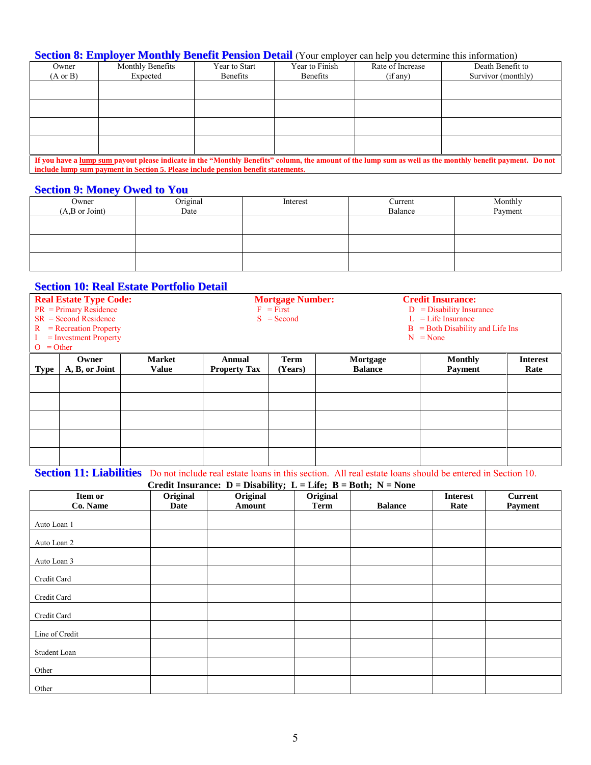#### **Section 8: Employer Monthly Benefit Pension Detail** (Your employer can help you determine this information)

| Owner                                                                                                                                                     | Monthly Benefits                                                                  | Year to Start | Year to Finish  | Rate of Increase | Death Benefit to   |  |  |  |  |
|-----------------------------------------------------------------------------------------------------------------------------------------------------------|-----------------------------------------------------------------------------------|---------------|-----------------|------------------|--------------------|--|--|--|--|
| $(A \text{ or } B)$                                                                                                                                       | Expected                                                                          | Benefits      | <b>Benefits</b> | (if any)         | Survivor (monthly) |  |  |  |  |
|                                                                                                                                                           |                                                                                   |               |                 |                  |                    |  |  |  |  |
|                                                                                                                                                           |                                                                                   |               |                 |                  |                    |  |  |  |  |
|                                                                                                                                                           |                                                                                   |               |                 |                  |                    |  |  |  |  |
|                                                                                                                                                           |                                                                                   |               |                 |                  |                    |  |  |  |  |
|                                                                                                                                                           |                                                                                   |               |                 |                  |                    |  |  |  |  |
|                                                                                                                                                           |                                                                                   |               |                 |                  |                    |  |  |  |  |
|                                                                                                                                                           |                                                                                   |               |                 |                  |                    |  |  |  |  |
|                                                                                                                                                           |                                                                                   |               |                 |                  |                    |  |  |  |  |
| If you have a lump sum payout please indicate in the "Monthly Benefits" column, the amount of the lump sum as well as the monthly benefit payment. Do not |                                                                                   |               |                 |                  |                    |  |  |  |  |
|                                                                                                                                                           | include lump sum payment in Section 5. Please include pension benefit statements. |               |                 |                  |                    |  |  |  |  |

#### **Section 9: Money Owed to You**

| Owner<br>(A,B or Joint) | Original<br>Date | Interest | Current<br>Balance | Monthly<br>Payment |
|-------------------------|------------------|----------|--------------------|--------------------|
|                         |                  |          |                    |                    |
|                         |                  |          |                    |                    |
|                         |                  |          |                    |                    |

#### **Section 10: Real Estate Portfolio Detail**

| $O = Other$ | <b>Real Estate Type Code:</b><br>$PR = Primary Residence$<br>$SR = Second Residence$<br>$R = Recreaction Property$<br>$=$ Investment Property |               | <b>Mortgage Number:</b><br><b>Credit Insurance:</b><br>$F = First$<br>$D =$ Disability Insurance<br>$L =$ Life Insurance<br>$S = Second$<br>$B = Both Disability and Life Ins$<br>$N = None$ |             |                |                |                 |
|-------------|-----------------------------------------------------------------------------------------------------------------------------------------------|---------------|----------------------------------------------------------------------------------------------------------------------------------------------------------------------------------------------|-------------|----------------|----------------|-----------------|
|             | Owner                                                                                                                                         | <b>Market</b> | Annual                                                                                                                                                                                       | <b>Term</b> | Mortgage       | <b>Monthly</b> | <b>Interest</b> |
| <b>Type</b> | A, B, or Joint                                                                                                                                | <b>Value</b>  | <b>Property Tax</b>                                                                                                                                                                          | (Years)     | <b>Balance</b> | <b>Payment</b> | Rate            |
|             |                                                                                                                                               |               |                                                                                                                                                                                              |             |                |                |                 |
|             |                                                                                                                                               |               |                                                                                                                                                                                              |             |                |                |                 |
|             |                                                                                                                                               |               |                                                                                                                                                                                              |             |                |                |                 |
|             |                                                                                                                                               |               |                                                                                                                                                                                              |             |                |                |                 |
|             |                                                                                                                                               |               |                                                                                                                                                                                              |             |                |                |                 |

**Section 11: Liabilities** Do not include real estate loans in this section. All real estate loans should be entered in Section 10.

**Credit Insurance: D = Disability; L = Life; B = Both; N = None** 

| Item or        | Original | $-$ - $ \rightarrow$ $-$<br>Original | —————————————<br>Original |                | <b>Interest</b> | <b>Current</b> |
|----------------|----------|--------------------------------------|---------------------------|----------------|-----------------|----------------|
| Co. Name       | Date     | Amount                               | Term                      | <b>Balance</b> | Rate            | Payment        |
| Auto Loan 1    |          |                                      |                           |                |                 |                |
| Auto Loan 2    |          |                                      |                           |                |                 |                |
| Auto Loan 3    |          |                                      |                           |                |                 |                |
| Credit Card    |          |                                      |                           |                |                 |                |
| Credit Card    |          |                                      |                           |                |                 |                |
| Credit Card    |          |                                      |                           |                |                 |                |
| Line of Credit |          |                                      |                           |                |                 |                |
| Student Loan   |          |                                      |                           |                |                 |                |
| Other          |          |                                      |                           |                |                 |                |
| Other          |          |                                      |                           |                |                 |                |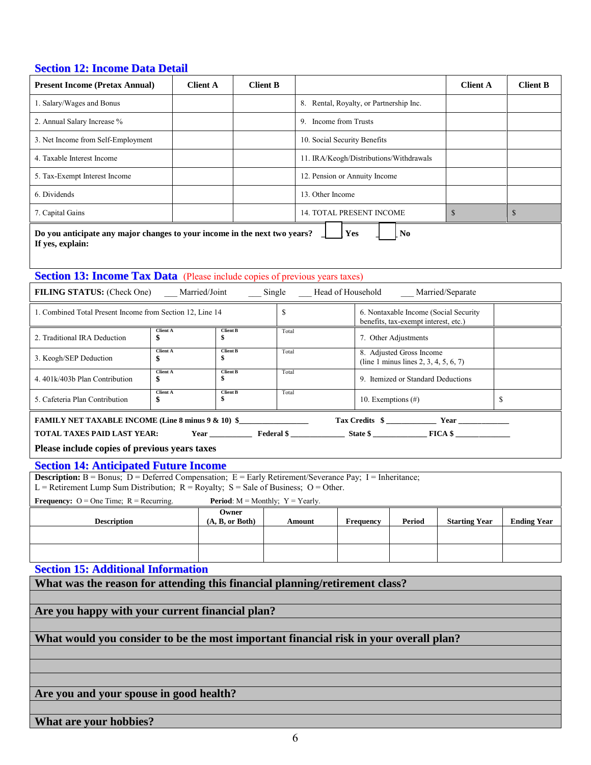#### **Section 12: Income Data Detail**

| <b>Present Income (Pretax Annual)</b>                                                                                                                                                                        | <b>Client A</b>             | <b>Client B</b>          |                                                                   |                                         | <b>Client A</b> | <b>Client B</b> |  |
|--------------------------------------------------------------------------------------------------------------------------------------------------------------------------------------------------------------|-----------------------------|--------------------------|-------------------------------------------------------------------|-----------------------------------------|-----------------|-----------------|--|
| 1. Salary/Wages and Bonus                                                                                                                                                                                    |                             |                          | 8. Rental, Royalty, or Partnership Inc.                           |                                         |                 |                 |  |
| 2. Annual Salary Increase %                                                                                                                                                                                  |                             |                          | 9. Income from Trusts                                             |                                         |                 |                 |  |
| 3. Net Income from Self-Employment                                                                                                                                                                           |                             |                          | 10. Social Security Benefits                                      |                                         |                 |                 |  |
| 4. Taxable Interest Income                                                                                                                                                                                   |                             |                          |                                                                   | 11. IRA/Keogh/Distributions/Withdrawals |                 |                 |  |
| 5. Tax-Exempt Interest Income                                                                                                                                                                                |                             |                          | 12. Pension or Annuity Income                                     |                                         |                 |                 |  |
| 6. Dividends                                                                                                                                                                                                 |                             |                          | 13. Other Income                                                  |                                         |                 |                 |  |
| 7. Capital Gains                                                                                                                                                                                             |                             |                          | <b>14. TOTAL PRESENT INCOME</b>                                   |                                         | $\mathbb{S}$    | $\mathbb{S}$    |  |
| N <sub>0</sub><br>Do you anticipate any major changes to your income in the next two years?<br>Yes<br>If yes, explain:<br><b>Section 13: Income Tax Data</b> (Please include copies of previous years taxes) |                             |                          |                                                                   |                                         |                 |                 |  |
| <b>FILING STATUS:</b> (Check One)<br>Married/Joint<br>Head of Household<br>Married/Separate<br>Single                                                                                                        |                             |                          |                                                                   |                                         |                 |                 |  |
| 1. Combined Total Present Income from Section 12, Line 14<br>S<br>6. Nontaxable Income (Social Security<br>benefits, tax-exempt interest, etc.)                                                              |                             |                          |                                                                   |                                         |                 |                 |  |
| 2. Traditional IRA Deduction                                                                                                                                                                                 | <b>Client A</b><br>\$<br>\$ | <b>Client B</b><br>Total |                                                                   | 7. Other Adjustments                    |                 |                 |  |
| 3. Keogh/SEP Deduction                                                                                                                                                                                       | <b>Client A</b><br>\$<br>\$ | <b>Client B</b><br>Total | 8. Adjusted Gross Income<br>(line 1 minus lines 2, 3, 4, 5, 6, 7) |                                         |                 |                 |  |
| 4.401k/403b Plan Contribution                                                                                                                                                                                | <b>Client A</b><br>\$<br>\$ | <b>Client B</b><br>Total | 9. Itemized or Standard Deductions                                |                                         |                 |                 |  |
| 5. Cafeteria Plan Contribution                                                                                                                                                                               | <b>Client A</b><br>\$<br>\$ | <b>Client B</b><br>Total |                                                                   | 10. Exemptions $(\#)$                   |                 | S               |  |

**FAMILY NET TAXABLE INCOME (Line 8 minus 9 & 10) \$\_\_\_\_\_\_\_\_\_\_\_\_\_\_\_\_\_\_ Tax Credits \$ \_\_\_\_\_\_\_\_\_\_\_\_\_ Year \_\_\_\_\_\_\_\_\_\_\_\_\_ TOTAL TAXES PAID LAST YEAR: Year \_\_\_\_\_\_\_\_\_\_\_ Federal \$ \_\_\_\_\_\_\_\_\_\_\_\_\_\_ State \$ \_\_\_\_\_\_\_\_\_\_\_\_\_\_ FICA \$ \_\_\_\_\_\_\_\_\_\_\_\_\_\_**

**Please include copies of previous years taxes**

#### **Section 14: Anticipated Future Income**

**Description:** B = Bonus; D = Deferred Compensation; E = Early Retirement/Severance Pay; I = Inheritance; L = Retirement Lump Sum Distribution;  $R =$  Royalty;  $S =$  Sale of Business; O = Other.

**Frequency:**  $O = One Time$ ;  $R = Recurring$ . **Period**:  $M = Monthly$ ;  $Y = Yearly$ . **Description Owner (A, B, or Both) Amount Frequency Period Starting Year Ending Year**

**Section 15: Additional Information**

**What was the reason for attending this financial planning/retirement class?**

**Are you happy with your current financial plan?**

**What would you consider to be the most important financial risk in your overall plan?**

**Are you and your spouse in good health?**

**What are your hobbies?**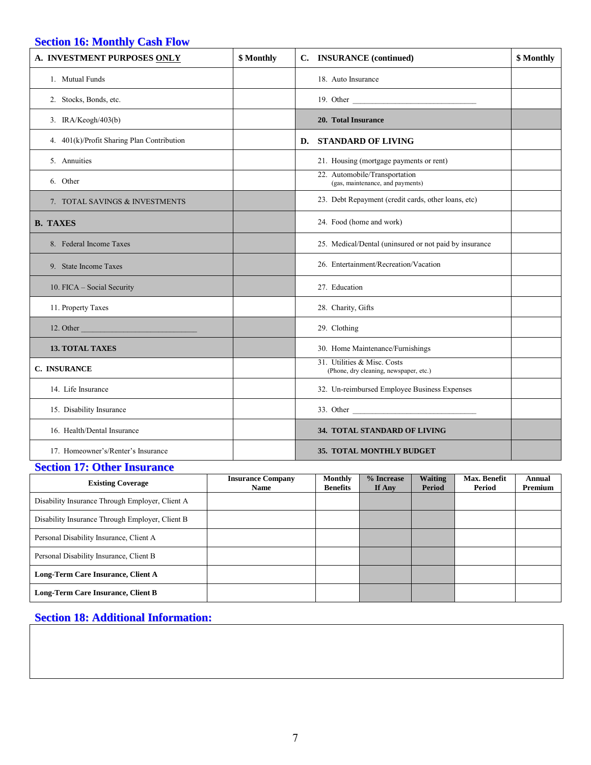#### **Section 16: Monthly Cash Flow**

| A. INVESTMENT PURPOSES ONLY                              | <b>INSURANCE</b> (continued)<br>\$ Monthly<br>$\mathbf{C}$ . |                                                                       | \$ Monthly |
|----------------------------------------------------------|--------------------------------------------------------------|-----------------------------------------------------------------------|------------|
| 1. Mutual Funds                                          |                                                              | 18. Auto Insurance                                                    |            |
| 2. Stocks, Bonds, etc.                                   |                                                              | 19. Other                                                             |            |
| 3. IRA/Keogh/403(b)                                      |                                                              | 20. Total Insurance                                                   |            |
| 4. 401(k)/Profit Sharing Plan Contribution               |                                                              | D. STANDARD OF LIVING                                                 |            |
| 5. Annuities                                             |                                                              | 21. Housing (mortgage payments or rent)                               |            |
| 6. Other                                                 |                                                              | 22. Automobile/Transportation<br>(gas, maintenance, and payments)     |            |
| 7. TOTAL SAVINGS & INVESTMENTS                           |                                                              | 23. Debt Repayment (credit cards, other loans, etc)                   |            |
| <b>B. TAXES</b>                                          |                                                              | 24. Food (home and work)                                              |            |
| 8. Federal Income Taxes                                  |                                                              | 25. Medical/Dental (uninsured or not paid by insurance                |            |
| 9. State Income Taxes                                    |                                                              | 26. Entertainment/Recreation/Vacation                                 |            |
| 10. FICA - Social Security                               |                                                              | 27. Education                                                         |            |
| 11. Property Taxes                                       |                                                              | 28. Charity, Gifts                                                    |            |
| 12. Other<br><u> 1970 - Johann Barnett, fransk konge</u> |                                                              | 29. Clothing                                                          |            |
| <b>13. TOTAL TAXES</b>                                   |                                                              | 30. Home Maintenance/Furnishings                                      |            |
| C. INSURANCE                                             |                                                              | 31. Utilities & Misc. Costs<br>(Phone, dry cleaning, newspaper, etc.) |            |
| 14. Life Insurance                                       |                                                              | 32. Un-reimbursed Employee Business Expenses                          |            |
| 15. Disability Insurance                                 |                                                              | 33. Other                                                             |            |
| 16. Health/Dental Insurance                              |                                                              | 34. TOTAL STANDARD OF LIVING                                          |            |
| 17. Homeowner's/Renter's Insurance                       |                                                              | <b>35. TOTAL MONTHLY BUDGET</b>                                       |            |

#### **Section 17: Other Insurance**

| <b>Existing Coverage</b>                        | <b>Insurance Company</b><br><b>Name</b> | Monthly<br><b>Benefits</b> | % Increase<br>If Any | <b>Waiting</b><br>Period | Max. Benefit<br>Period | Annual<br>Premium |
|-------------------------------------------------|-----------------------------------------|----------------------------|----------------------|--------------------------|------------------------|-------------------|
| Disability Insurance Through Employer, Client A |                                         |                            |                      |                          |                        |                   |
| Disability Insurance Through Employer, Client B |                                         |                            |                      |                          |                        |                   |
| Personal Disability Insurance, Client A         |                                         |                            |                      |                          |                        |                   |
| Personal Disability Insurance, Client B         |                                         |                            |                      |                          |                        |                   |
| Long-Term Care Insurance, Client A              |                                         |                            |                      |                          |                        |                   |
| Long-Term Care Insurance, Client B              |                                         |                            |                      |                          |                        |                   |

#### **Section 18: Additional Information:**